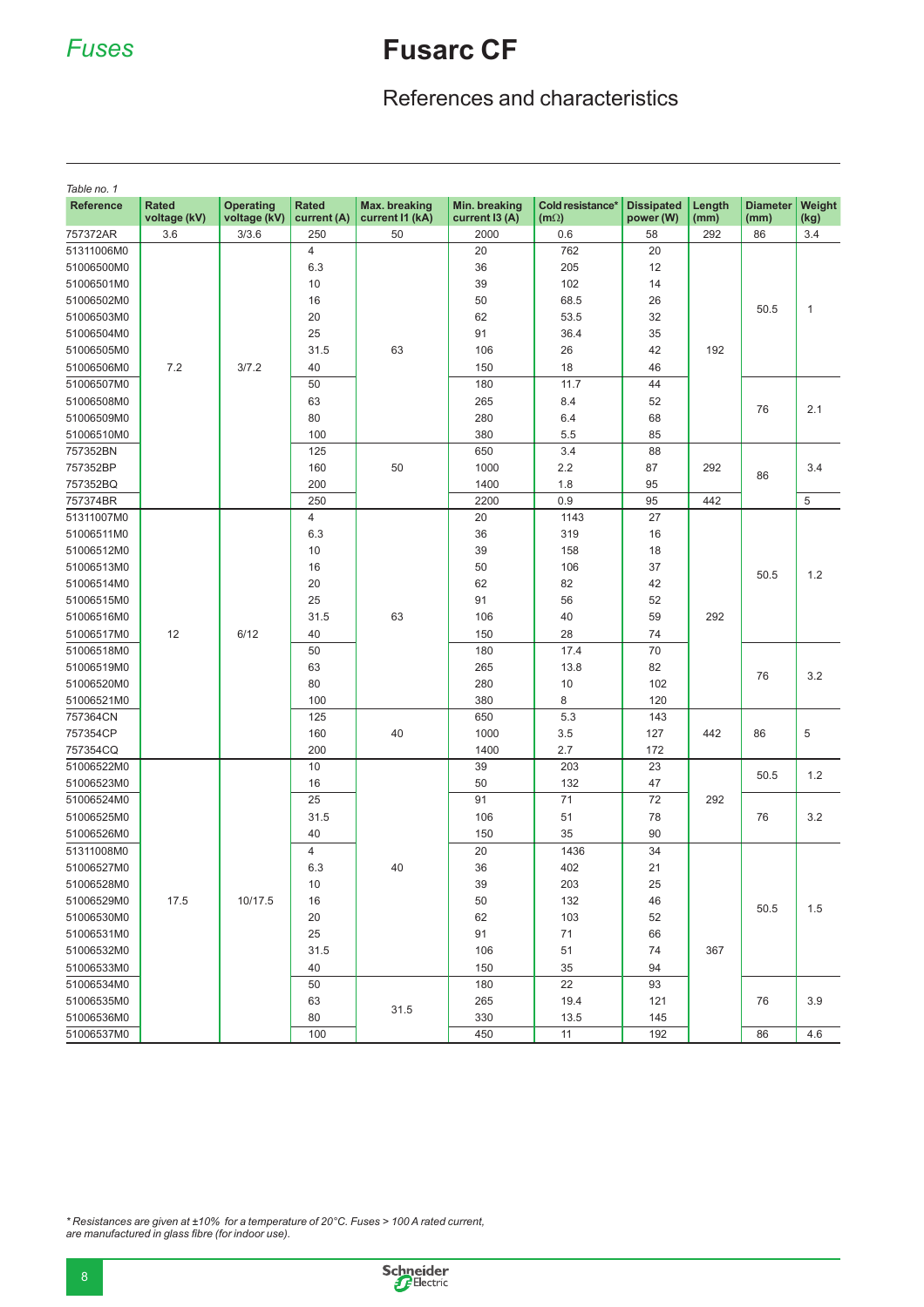## *Fuses* **Fusarc CF**

## References and characteristics

| Table no. 1      |                              |                                  |                             |                                  |                                 |                                 |                                |                  |                         |                |
|------------------|------------------------------|----------------------------------|-----------------------------|----------------------------------|---------------------------------|---------------------------------|--------------------------------|------------------|-------------------------|----------------|
| <b>Reference</b> | <b>Rated</b><br>voltage (kV) | <b>Operating</b><br>voltage (kV) | <b>Rated</b><br>current (A) | Max. breaking<br>current I1 (kA) | Min. breaking<br>current I3 (A) | Cold resistance*<br>$(m\Omega)$ | <b>Dissipated</b><br>power (W) | Length<br>(mm)   | <b>Diameter</b><br>(mm) | Weight<br>(kg) |
| 757372AR         | 3.6                          | 3/3.6                            | 250                         | 50                               | 2000                            | 0.6                             | 58                             | 292              | 86                      | 3.4            |
| 51311006M0       |                              |                                  | $\overline{4}$              | 63                               | 20                              | 762                             | 20                             | 192              | 50.5                    | $\mathbf{1}$   |
| 51006500M0       |                              |                                  | 6.3                         |                                  | 36                              | 205                             | 12                             |                  |                         |                |
| 51006501M0       | 7.2                          | 3/7.2                            | 10                          |                                  | 39                              | 102                             | 14                             |                  |                         |                |
| 51006502M0       |                              |                                  | 16                          |                                  | 50                              | 68.5                            | 26                             |                  |                         |                |
| 51006503M0       |                              |                                  | 20                          |                                  | 62                              | 53.5                            | 32                             |                  |                         |                |
| 51006504M0       |                              |                                  | 25                          |                                  | 91                              | 36.4                            | 35                             |                  |                         |                |
| 51006505M0       |                              |                                  | 31.5                        |                                  | 106                             | 26                              | 42                             |                  |                         |                |
| 51006506M0       |                              |                                  | 40                          |                                  | 150                             | 18                              | 46                             |                  |                         |                |
| 51006507M0       |                              |                                  | 50                          |                                  | 180                             | 11.7                            | 44                             |                  | 76                      | 2.1            |
| 51006508M0       |                              |                                  | 63                          |                                  | 265                             | 8.4                             | 52                             |                  |                         |                |
| 51006509M0       |                              |                                  | 80                          |                                  | 280                             | 6.4                             | 68                             |                  |                         |                |
| 51006510M0       |                              |                                  | 100                         |                                  | 380                             | 5.5                             | 85                             |                  |                         |                |
| 757352BN         |                              |                                  | 125                         | 50                               | 650                             | 3.4                             | 88                             |                  |                         | 3.4            |
| 757352BP         |                              |                                  | 160                         |                                  | 1000                            | 2.2                             | 87                             | 292<br>86<br>442 |                         |                |
| 757352BQ         |                              |                                  | 200                         |                                  | 1400                            | 1.8                             | 95                             |                  |                         |                |
| 757374BR         |                              |                                  | 250                         |                                  | 2200                            | 0.9                             | 95                             |                  |                         | 5              |
| 51311007M0       |                              | 6/12                             | $\overline{4}$              | 63                               | 20                              | 1143                            | 27                             | 292              | 50.5                    | 1.2            |
| 51006511M0       |                              |                                  | 6.3                         |                                  | 36                              | 319                             | 16                             |                  |                         |                |
| 51006512M0       |                              |                                  | 10                          |                                  | 39                              | 158                             | 18                             |                  |                         |                |
| 51006513M0       |                              |                                  | 16                          |                                  | 50                              | 106                             | 37                             |                  |                         |                |
| 51006514M0       |                              |                                  | 20                          |                                  | 62                              | 82                              | 42                             |                  |                         |                |
| 51006515M0       |                              |                                  | 25                          |                                  | 91                              | 56                              | 52                             |                  |                         |                |
| 51006516M0       |                              |                                  | 31.5                        |                                  | 106                             | 40                              | 59                             |                  |                         |                |
| 51006517M0       | 12                           |                                  | 40                          |                                  | 150                             | 28                              | 74                             |                  |                         |                |
| 51006518M0       |                              |                                  | 50                          |                                  | 180                             | 17.4                            | 70                             |                  | 76                      | 3.2            |
| 51006519M0       |                              |                                  | 63                          |                                  | 265                             | 13.8                            | 82                             |                  |                         |                |
| 51006520M0       |                              |                                  | 80                          |                                  | 280                             | 10                              | 102                            |                  |                         |                |
| 51006521M0       |                              |                                  | 100                         |                                  | 380                             | 8                               | 120                            |                  |                         |                |
| 757364CN         |                              |                                  | 125                         | 40                               | 650                             | 5.3                             | 143                            | 442              | 86                      | 5              |
| 757354CP         |                              |                                  | 160                         |                                  | 1000                            | 3.5                             | 127                            |                  |                         |                |
| 757354CQ         |                              |                                  | 200                         |                                  | 1400                            | 2.7                             | 172                            |                  |                         |                |
| 51006522M0       |                              | 10/17.5                          | 10                          | 40                               | 39                              | 203                             | 23                             | 292              | 50.5                    | 1.2            |
| 51006523M0       |                              |                                  | 16                          |                                  | 50                              | 132                             | 47                             |                  |                         |                |
| 51006524M0       | 17.5                         |                                  | 25                          |                                  | 91                              | 71                              | 72                             |                  | 76                      | 3.2<br>1.5     |
| 51006525M0       |                              |                                  | 31.5                        |                                  | 106                             | 51                              | 78                             |                  |                         |                |
| 51006526M0       |                              |                                  | 40                          |                                  | 150                             | 35                              | 90                             |                  |                         |                |
| 51311008M0       |                              |                                  | 4                           |                                  | 20                              | 1436                            | 34                             | 367              | 50.5                    |                |
| 51006527M0       |                              |                                  | 6.3                         |                                  | 36                              | 402                             | 21                             |                  |                         |                |
| 51006528M0       |                              |                                  | 10                          |                                  | 39                              | 203                             | 25                             |                  |                         |                |
| 51006529M0       |                              |                                  | 16                          |                                  | 50                              | 132                             | 46                             |                  |                         |                |
| 51006530M0       |                              |                                  | 20                          |                                  | 62                              | 103                             | 52                             |                  |                         |                |
| 51006531M0       |                              |                                  | 25                          |                                  | 91                              | 71                              | 66                             |                  |                         |                |
| 51006532M0       |                              |                                  | 31.5                        |                                  | 106                             | 51                              | 74                             |                  |                         |                |
| 51006533M0       |                              |                                  | 40                          |                                  | 150                             | 35                              | 94                             |                  |                         |                |
| 51006534M0       |                              |                                  | 50                          | 31.5                             | 180                             | 22                              | 93                             |                  | 76                      | 3.9            |
| 51006535M0       |                              |                                  | 63                          |                                  | 265                             | 19.4                            | 121                            |                  |                         |                |
| 51006536M0       |                              |                                  | 80                          |                                  | 330                             | 13.5                            | 145                            |                  |                         |                |
| 51006537M0       |                              |                                  | 100                         |                                  | 450                             | 11                              | 192                            |                  | 86                      | 4.6            |

*\* Resistances are given at ±10% for a temperature of 20°C. Fuses > 100 A rated current, are manufactured in glass fi bre (for indoor use).*